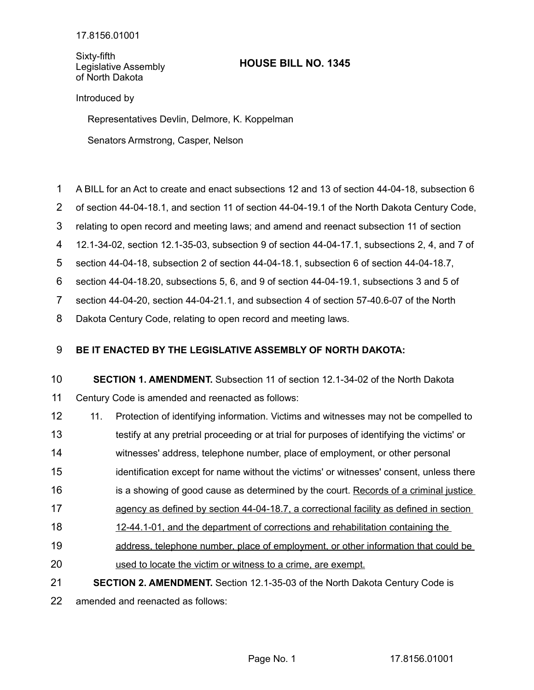Sixty-fifth Legislative Assembly of North Dakota

# **HOUSE BILL NO. 1345**

## Introduced by

Representatives Devlin, Delmore, K. Koppelman

Senators Armstrong, Casper, Nelson

- A BILL for an Act to create and enact subsections 12 and 13 of section 44-04-18, subsection 6 1
- of section 44-04-18.1, and section 11 of section 44-04-19.1 of the North Dakota Century Code, 2
- relating to open record and meeting laws; and amend and reenact subsection 11 of section 3
- 12.1-34-02, section 12.1-35-03, subsection 9 of section 44-04-17.1, subsections 2, 4, and 7 of 4
- section 44-04-18, subsection 2 of section 44-04-18.1, subsection 6 of section 44-04-18.7, 5

section 44-04-18.20, subsections 5, 6, and 9 of section 44-04-19.1, subsections 3 and 5 of 6

section 44-04-20, section 44-04-21.1, and subsection 4 of section 57-40.6-07 of the North 7

Dakota Century Code, relating to open record and meeting laws. 8

#### **BE IT ENACTED BY THE LEGISLATIVE ASSEMBLY OF NORTH DAKOTA:** 9

### **SECTION 1. AMENDMENT.** Subsection 11 of section 12.1-34-02 of the North Dakota Century Code is amended and reenacted as follows: 10 11

- 11. Protection of identifying information. Victims and witnesses may not be compelled to 12
- testify at any pretrial proceeding or at trial for purposes of identifying the victims' or 13
- witnesses' address, telephone number, place of employment, or other personal 14
- identification except for name without the victims' or witnesses' consent, unless there 15
- is a showing of good cause as determined by the court. Records of a criminal justice 16
- agency as defined by section 44-04-18.7, a correctional facility as defined in section 17
- 12-44.1-01, and the department of corrections and rehabilitation containing the 18
- address, telephone number, place of employment, or other information that could be 19
- used to locate the victim or witness to a crime, are exempt. 20
- **SECTION 2. AMENDMENT.** Section 12.1-35-03 of the North Dakota Century Code is 21

amended and reenacted as follows: 22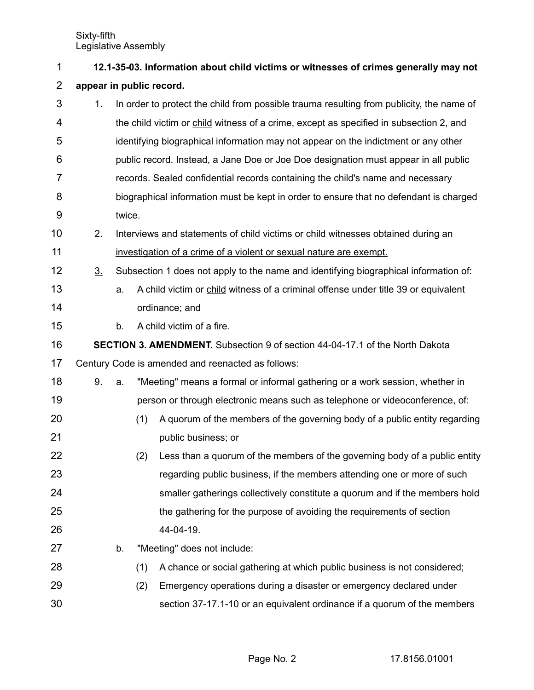| 1              |                                                                                     |        |     | 12.1-35-03. Information about child victims or witnesses of crimes generally may not     |  |  |  |
|----------------|-------------------------------------------------------------------------------------|--------|-----|------------------------------------------------------------------------------------------|--|--|--|
| $\overline{2}$ | appear in public record.                                                            |        |     |                                                                                          |  |  |  |
| 3              | 1.                                                                                  |        |     | In order to protect the child from possible trauma resulting from publicity, the name of |  |  |  |
| 4              |                                                                                     |        |     | the child victim or child witness of a crime, except as specified in subsection 2, and   |  |  |  |
| 5              |                                                                                     |        |     | identifying biographical information may not appear on the indictment or any other       |  |  |  |
| 6              |                                                                                     |        |     | public record. Instead, a Jane Doe or Joe Doe designation must appear in all public      |  |  |  |
| 7              |                                                                                     |        |     | records. Sealed confidential records containing the child's name and necessary           |  |  |  |
| 8              |                                                                                     |        |     | biographical information must be kept in order to ensure that no defendant is charged    |  |  |  |
| 9              |                                                                                     | twice. |     |                                                                                          |  |  |  |
| 10             | 2.                                                                                  |        |     | Interviews and statements of child victims or child witnesses obtained during an         |  |  |  |
| 11             |                                                                                     |        |     | investigation of a crime of a violent or sexual nature are exempt.                       |  |  |  |
| 12             | 3 <sub>1</sub>                                                                      |        |     | Subsection 1 does not apply to the name and identifying biographical information of:     |  |  |  |
| 13             |                                                                                     | a.     |     | A child victim or child witness of a criminal offense under title 39 or equivalent       |  |  |  |
| 14             |                                                                                     |        |     | ordinance; and                                                                           |  |  |  |
| 15             |                                                                                     | b.     |     | A child victim of a fire.                                                                |  |  |  |
| 16             | <b>SECTION 3. AMENDMENT.</b> Subsection 9 of section 44-04-17.1 of the North Dakota |        |     |                                                                                          |  |  |  |
| 17             | Century Code is amended and reenacted as follows:                                   |        |     |                                                                                          |  |  |  |
| 18             | 9.                                                                                  | a.     |     | "Meeting" means a formal or informal gathering or a work session, whether in             |  |  |  |
| 19             |                                                                                     |        |     | person or through electronic means such as telephone or videoconference, of:             |  |  |  |
| 20             |                                                                                     |        | (1) | A quorum of the members of the governing body of a public entity regarding               |  |  |  |
| 21             |                                                                                     |        |     | public business; or                                                                      |  |  |  |
| 22             |                                                                                     |        | (2) | Less than a quorum of the members of the governing body of a public entity               |  |  |  |
| 23             |                                                                                     |        |     | regarding public business, if the members attending one or more of such                  |  |  |  |
| 24             |                                                                                     |        |     | smaller gatherings collectively constitute a quorum and if the members hold              |  |  |  |
| 25             |                                                                                     |        |     | the gathering for the purpose of avoiding the requirements of section                    |  |  |  |
| 26             |                                                                                     |        |     | 44-04-19.                                                                                |  |  |  |
| 27             |                                                                                     | b.     |     | "Meeting" does not include:                                                              |  |  |  |
| 28             |                                                                                     |        | (1) | A chance or social gathering at which public business is not considered;                 |  |  |  |
| 29             |                                                                                     |        | (2) | Emergency operations during a disaster or emergency declared under                       |  |  |  |
| 30             |                                                                                     |        |     | section 37-17.1-10 or an equivalent ordinance if a quorum of the members                 |  |  |  |

Page No. 2 17.8156.01001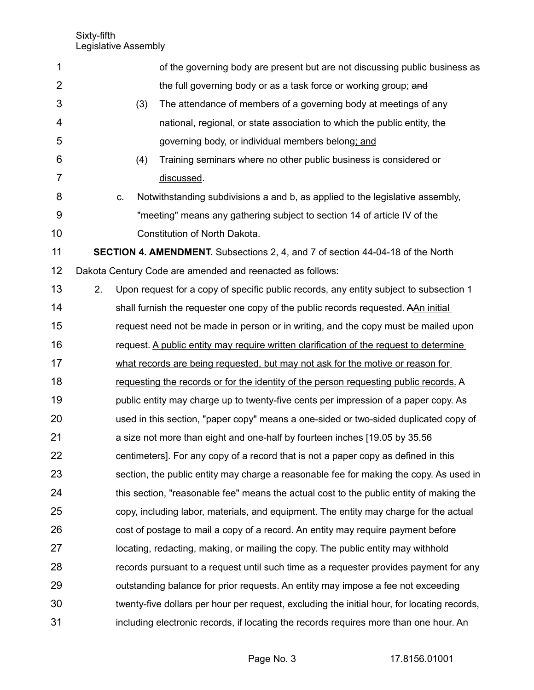| 1              |    |    |     | of the governing body are present but are not discussing public business as                 |
|----------------|----|----|-----|---------------------------------------------------------------------------------------------|
| $\overline{2}$ |    |    |     | the full governing body or as a task force or working group; and                            |
| 3              |    |    | (3) | The attendance of members of a governing body at meetings of any                            |
| 4              |    |    |     | national, regional, or state association to which the public entity, the                    |
| 5              |    |    |     | governing body, or individual members belong; and                                           |
| 6              |    |    | (4) | Training seminars where no other public business is considered or                           |
| 7              |    |    |     | discussed.                                                                                  |
| 8              |    | C. |     | Notwithstanding subdivisions a and b, as applied to the legislative assembly,               |
| 9              |    |    |     | "meeting" means any gathering subject to section 14 of article IV of the                    |
| 10             |    |    |     | Constitution of North Dakota.                                                               |
| 11             |    |    |     | <b>SECTION 4. AMENDMENT.</b> Subsections 2, 4, and 7 of section 44-04-18 of the North       |
| 12             |    |    |     | Dakota Century Code are amended and reenacted as follows:                                   |
| 13             | 2. |    |     | Upon request for a copy of specific public records, any entity subject to subsection 1      |
| 14             |    |    |     | shall furnish the requester one copy of the public records requested. AAn initial           |
| 15             |    |    |     | request need not be made in person or in writing, and the copy must be mailed upon          |
| 16             |    |    |     | request. A public entity may require written clarification of the request to determine      |
| 17             |    |    |     | what records are being requested, but may not ask for the motive or reason for              |
| 18             |    |    |     | requesting the records or for the identity of the person requesting public records. A       |
| 19             |    |    |     | public entity may charge up to twenty-five cents per impression of a paper copy. As         |
| 20             |    |    |     | used in this section, "paper copy" means a one-sided or two-sided duplicated copy of        |
| 21             |    |    |     | a size not more than eight and one-half by fourteen inches [19.05 by 35.56]                 |
| 22             |    |    |     | centimeters]. For any copy of a record that is not a paper copy as defined in this          |
| 23             |    |    |     | section, the public entity may charge a reasonable fee for making the copy. As used in      |
| 24             |    |    |     | this section, "reasonable fee" means the actual cost to the public entity of making the     |
| 25             |    |    |     | copy, including labor, materials, and equipment. The entity may charge for the actual       |
| 26             |    |    |     | cost of postage to mail a copy of a record. An entity may require payment before            |
| 27             |    |    |     | locating, redacting, making, or mailing the copy. The public entity may withhold            |
| 28             |    |    |     | records pursuant to a request until such time as a requester provides payment for any       |
| 29             |    |    |     | outstanding balance for prior requests. An entity may impose a fee not exceeding            |
| 30             |    |    |     | twenty-five dollars per hour per request, excluding the initial hour, for locating records, |
| 31             |    |    |     | including electronic records, if locating the records requires more than one hour. An       |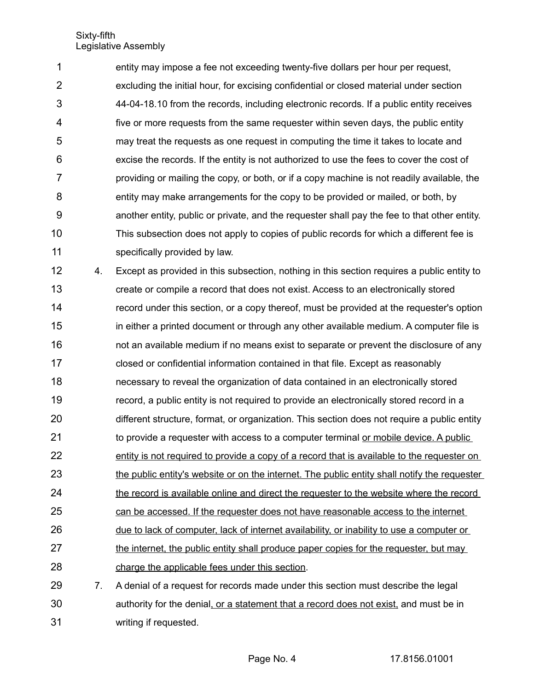entity may impose a fee not exceeding twenty-five dollars per hour per request, excluding the initial hour, for excising confidential or closed material under section 44-04-18.10 from the records, including electronic records. If a public entity receives five or more requests from the same requester within seven days, the public entity may treat the requests as one request in computing the time it takes to locate and excise the records. If the entity is not authorized to use the fees to cover the cost of providing or mailing the copy, or both, or if a copy machine is not readily available, the entity may make arrangements for the copy to be provided or mailed, or both, by another entity, public or private, and the requester shall pay the fee to that other entity. This subsection does not apply to copies of public records for which a different fee is specifically provided by law. 1 2 3 4 5 6 7 8 9 10 11

4. Except as provided in this subsection, nothing in this section requires a public entity to create or compile a record that does not exist. Access to an electronically stored record under this section, or a copy thereof, must be provided at the requester's option in either a printed document or through any other available medium. A computer file is not an available medium if no means exist to separate or prevent the disclosure of any closed or confidential information contained in that file. Except as reasonably necessary to reveal the organization of data contained in an electronically stored record, a public entity is not required to provide an electronically stored record in a different structure, format, or organization. This section does not require a public entity to provide a requester with access to a computer terminal or mobile device. A public entity is not required to provide a copy of a record that is available to the requester on the public entity's website or on the internet. The public entity shall notify the requester the record is available online and direct the requester to the website where the record can be accessed. If the requester does not have reasonable access to the internet due to lack of computer, lack of internet availability, or inability to use a computer or the internet, the public entity shall produce paper copies for the requester, but may charge the applicable fees under this section. 7. A denial of a request for records made under this section must describe the legal 12 13 14 15 16 17 18 19 20 21 22 23 24 25 26 27 28 29

authority for the denial, or a statement that a record does not exist, and must be in writing if requested. 30 31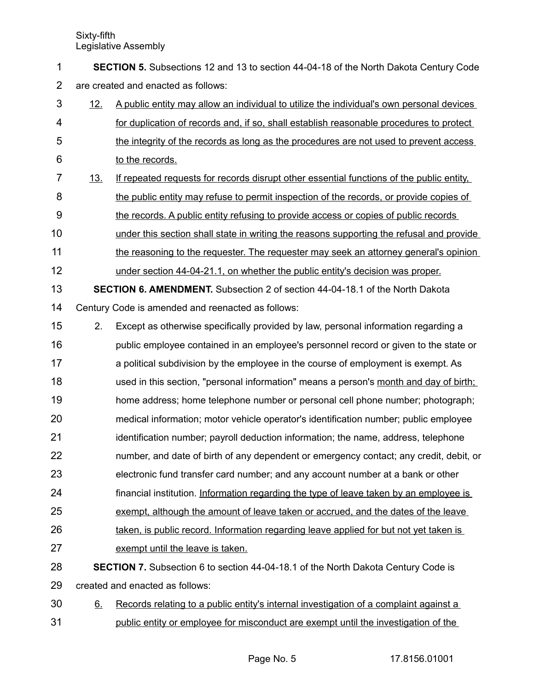**SECTION 5.** Subsections 12 and 13 to section 44-04-18 of the North Dakota Century Code are created and enacted as follows: 1 2

- 12. A public entity may allow an individual to utilize the individual's own personal devices for duplication of records and, if so, shall establish reasonable procedures to protect the integrity of the records as long as the procedures are not used to prevent access to the records. 3 4 5 6
- 13. If repeated requests for records disrupt other essential functions of the public entity, the public entity may refuse to permit inspection of the records, or provide copies of the records. A public entity refusing to provide access or copies of public records 7 8 9
- under this section shall state in writing the reasons supporting the refusal and provide 10
- the reasoning to the requester. The requester may seek an attorney general's opinion 11
- under section 44-04-21.1, on whether the public entity's decision was proper. 12
- **SECTION 6. AMENDMENT.** Subsection 2 of section 44-04-18.1 of the North Dakota Century Code is amended and reenacted as follows: 13 14
- 2. Except as otherwise specifically provided by law, personal information regarding a 15
- public employee contained in an employee's personnel record or given to the state or a political subdivision by the employee in the course of employment is exempt. As used in this section, "personal information" means a person's month and day of birth; home address; home telephone number or personal cell phone number; photograph; medical information; motor vehicle operator's identification number; public employee 16 17 18 19 20
- identification number; payroll deduction information; the name, address, telephone 21
- number, and date of birth of any dependent or emergency contact; any credit, debit, or 22
- electronic fund transfer card number; and any account number at a bank or other 23
- financial institution. Information regarding the type of leave taken by an employee is 24
- exempt, although the amount of leave taken or accrued, and the dates of the leave 25
- taken, is public record. Information regarding leave applied for but not yet taken is 26
- exempt until the leave is taken. 27
- **SECTION 7.** Subsection 6 to section 44-04-18.1 of the North Dakota Century Code is created and enacted as follows: 28 29
- 6. Records relating to a public entity's internal investigation of a complaint against a public entity or employee for misconduct are exempt until the investigation of the 30 31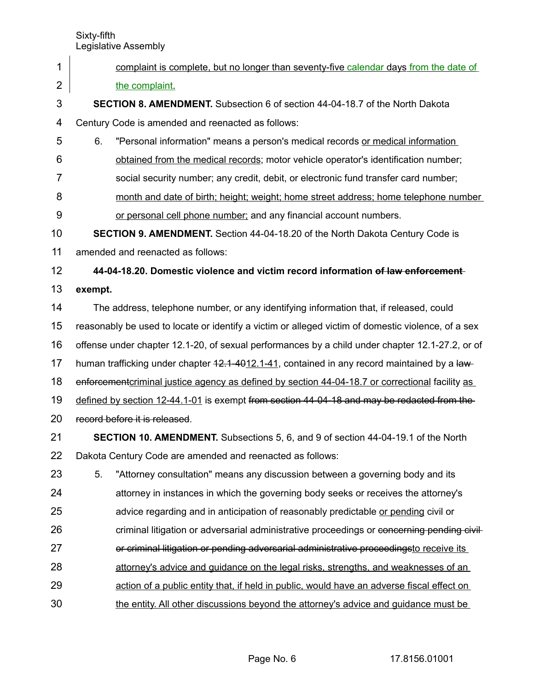- Sixty-fifth Legislative Assembly complaint is complete, but no longer than seventy-five calendar days from the date of the complaint. **SECTION 8. AMENDMENT.** Subsection 6 of section 44-04-18.7 of the North Dakota Century Code is amended and reenacted as follows: 6. "Personal information" means a person's medical records or medical information obtained from the medical records; motor vehicle operator's identification number; social security number; any credit, debit, or electronic fund transfer card number; month and date of birth; height; weight; home street address; home telephone number or personal cell phone number; and any financial account numbers. **SECTION 9. AMENDMENT.** Section 44-04-18.20 of the North Dakota Century Code is amended and reenacted as follows: **44-04-18.20. Domestic violence and victim record information of law enforcement exempt.** The address, telephone number, or any identifying information that, if released, could reasonably be used to locate or identify a victim or alleged victim of domestic violence, of a sex offense under chapter 12.1-20, of sexual performances by a child under chapter 12.1-27.2, or of human trafficking under chapter  $42.1 - 4012.1 - 41$ , contained in any record maintained by a lawenforcement criminal justice agency as defined by section 44-04-18.7 or correctional facility as defined by section 12-44.1-01 is exempt from section 44-04-18 and may be redacted from the record before it is released. **SECTION 10. AMENDMENT.** Subsections 5, 6, and 9 of section 44-04-19.1 of the North Dakota Century Code are amended and reenacted as follows: 5. "Attorney consultation" means any discussion between a governing body and its attorney in instances in which the governing body seeks or receives the attorney's advice regarding and in anticipation of reasonably predictable or pending civil or criminal litigation or adversarial administrative proceedings or concerning pending civilor criminal litigation or pending adversarial administrative proceedingsto receive its attorney's advice and guidance on the legal risks, strengths, and weaknesses of an action of a public entity that, if held in public, would have an adverse fiscal effect on 1 2 3 4 5 6 7 8 9 10 11 12 13 14 15 16 17 18 19 20 21 22 23 24 25 26 27 28 29
- the entity. All other discussions beyond the attorney's advice and guidance must be 30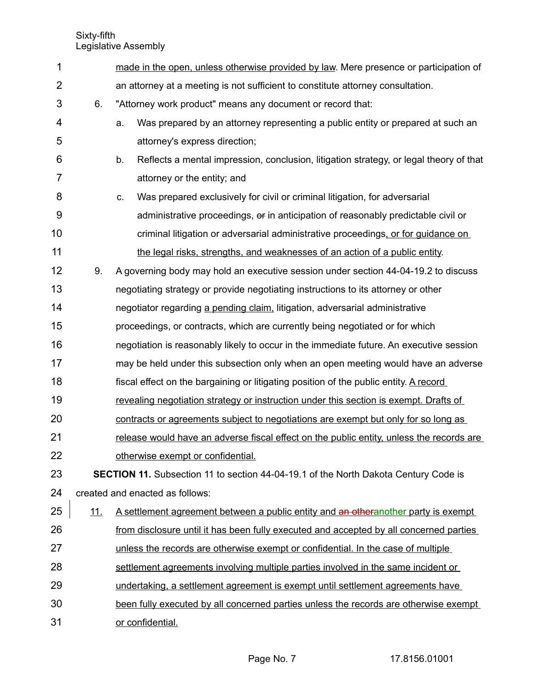| 1              |            | made in the open, unless otherwise provided by law. Mere presence or participation of        |
|----------------|------------|----------------------------------------------------------------------------------------------|
| $\overline{2}$ |            | an attorney at a meeting is not sufficient to constitute attorney consultation.              |
| 3              | 6.         | "Attorney work product" means any document or record that:                                   |
| 4              |            | Was prepared by an attorney representing a public entity or prepared at such an<br>a.        |
| 5              |            | attorney's express direction;                                                                |
| 6              |            | Reflects a mental impression, conclusion, litigation strategy, or legal theory of that<br>b. |
| 7              |            | attorney or the entity; and                                                                  |
| 8              |            | Was prepared exclusively for civil or criminal litigation, for adversarial<br>C.             |
| 9              |            | administrative proceedings, or in anticipation of reasonably predictable civil or            |
| 10             |            | criminal litigation or adversarial administrative proceedings, or for guidance on            |
| 11             |            | the legal risks, strengths, and weaknesses of an action of a public entity.                  |
| 12             | 9.         | A governing body may hold an executive session under section 44-04-19.2 to discuss           |
| 13             |            | negotiating strategy or provide negotiating instructions to its attorney or other            |
| 14             |            | negotiator regarding a pending claim, litigation, adversarial administrative                 |
| 15             |            | proceedings, or contracts, which are currently being negotiated or for which                 |
| 16             |            | negotiation is reasonably likely to occur in the immediate future. An executive session      |
| 17             |            | may be held under this subsection only when an open meeting would have an adverse            |
| 18             |            | fiscal effect on the bargaining or litigating position of the public entity. A record        |
| 19             |            | revealing negotiation strategy or instruction under this section is exempt. Drafts of        |
| 20             |            | contracts or agreements subject to negotiations are exempt but only for so long as           |
| 21             |            | release would have an adverse fiscal effect on the public entity, unless the records are     |
| 22             |            | otherwise exempt or confidential.                                                            |
| 23             |            | <b>SECTION 11.</b> Subsection 11 to section 44-04-19.1 of the North Dakota Century Code is   |
| 24             |            | created and enacted as follows:                                                              |
| 25             | <u>11.</u> | A settlement agreement between a public entity and an otheranother party is exempt           |
| 26             |            | from disclosure until it has been fully executed and accepted by all concerned parties       |
| 27             |            | unless the records are otherwise exempt or confidential. In the case of multiple             |
| 28             |            | settlement agreements involving multiple parties involved in the same incident or            |
| 29             |            | undertaking, a settlement agreement is exempt until settlement agreements have               |
| 30             |            | been fully executed by all concerned parties unless the records are otherwise exempt         |
| 31             |            | or confidential.                                                                             |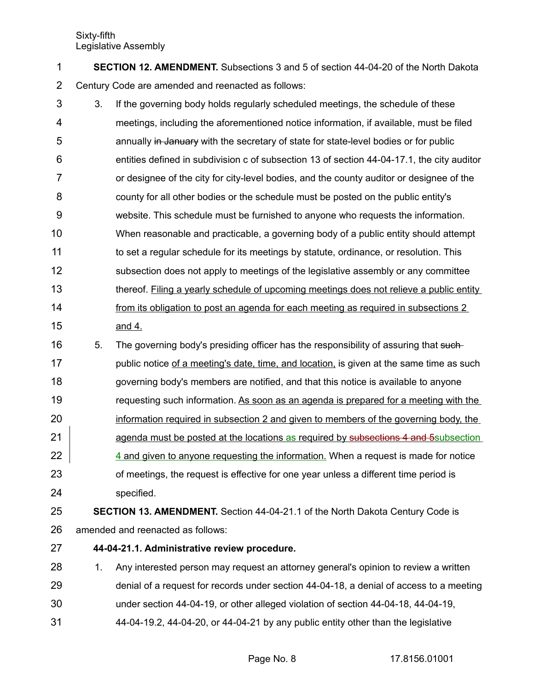**SECTION 12. AMENDMENT.** Subsections 3 and 5 of section 44-04-20 of the North Dakota Century Code are amended and reenacted as follows: 1 2

- 3. If the governing body holds regularly scheduled meetings, the schedule of these meetings, including the aforementioned notice information, if available, must be filed annually in January with the secretary of state for state-level bodies or for public entities defined in subdivision c of subsection 13 of section 44-04-17.1, the city auditor or designee of the city for city-level bodies, and the county auditor or designee of the county for all other bodies or the schedule must be posted on the public entity's website. This schedule must be furnished to anyone who requests the information. When reasonable and practicable, a governing body of a public entity should attempt to set a regular schedule for its meetings by statute, ordinance, or resolution. This subsection does not apply to meetings of the legislative assembly or any committee thereof. Filing a yearly schedule of upcoming meetings does not relieve a public entity from its obligation to post an agenda for each meeting as required in subsections 2 and 4. 3 4 5 6 7 8 9 10 11 12 13 14 15
- 5. The governing body's presiding officer has the responsibility of assuring that suchpublic notice of a meeting's date, time, and location, is given at the same time as such governing body's members are notified, and that this notice is available to anyone requesting such information. As soon as an agenda is prepared for a meeting with the information required in subsection 2 and given to members of the governing body, the agenda must be posted at the locations as required by subsections 4 and 5 subsection 4 and given to anyone requesting the information. When a request is made for notice of meetings, the request is effective for one year unless a different time period is specified. 16 17 18 19 20 21 22 23 24

#### **SECTION 13. AMENDMENT.** Section 44-04-21.1 of the North Dakota Century Code is amended and reenacted as follows: 25 26

- **44-04-21.1. Administrative review procedure.** 27
- 1. Any interested person may request an attorney general's opinion to review a written denial of a request for records under section 44-04-18, a denial of access to a meeting under section 44-04-19, or other alleged violation of section 44-04-18, 44-04-19, 44-04-19.2, 44-04-20, or 44-04-21 by any public entity other than the legislative 28 29 30 31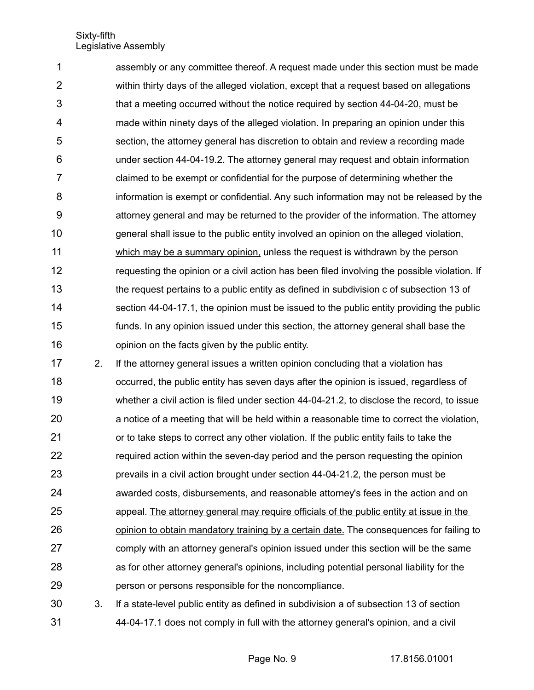assembly or any committee thereof. A request made under this section must be made within thirty days of the alleged violation, except that a request based on allegations that a meeting occurred without the notice required by section 44-04-20, must be made within ninety days of the alleged violation. In preparing an opinion under this section, the attorney general has discretion to obtain and review a recording made under section 44-04-19.2. The attorney general may request and obtain information claimed to be exempt or confidential for the purpose of determining whether the information is exempt or confidential. Any such information may not be released by the attorney general and may be returned to the provider of the information. The attorney general shall issue to the public entity involved an opinion on the alleged violation, which may be a summary opinion, unless the request is withdrawn by the person requesting the opinion or a civil action has been filed involving the possible violation. If the request pertains to a public entity as defined in subdivision c of subsection 13 of section 44-04-17.1, the opinion must be issued to the public entity providing the public funds. In any opinion issued under this section, the attorney general shall base the opinion on the facts given by the public entity. 1 2 3 4 5 6 7 8 9 10 11 12 13 14 15 16

- 2. If the attorney general issues a written opinion concluding that a violation has occurred, the public entity has seven days after the opinion is issued, regardless of whether a civil action is filed under section 44-04-21.2, to disclose the record, to issue a notice of a meeting that will be held within a reasonable time to correct the violation, or to take steps to correct any other violation. If the public entity fails to take the required action within the seven-day period and the person requesting the opinion prevails in a civil action brought under section 44-04-21.2, the person must be awarded costs, disbursements, and reasonable attorney's fees in the action and on appeal. The attorney general may require officials of the public entity at issue in the opinion to obtain mandatory training by a certain date. The consequences for failing to comply with an attorney general's opinion issued under this section will be the same as for other attorney general's opinions, including potential personal liability for the person or persons responsible for the noncompliance. 17 18 19 20 21 22 23 24 25 26 27 28 29
- 3. If a state-level public entity as defined in subdivision a of subsection 13 of section 44-04-17.1 does not comply in full with the attorney general's opinion, and a civil 30 31